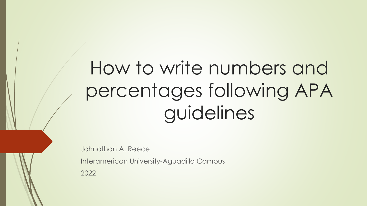# How to write numbers and percentages following APA guidelines

Johnathan A. Reece

Interamerican University-Aguadilla Campus

2022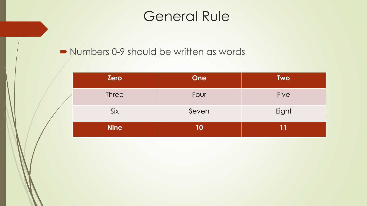#### General Rule

#### Numbers 0-9 should be written as words

| <b>Zero</b>  | <b>One</b> | <b>Two</b>  |
|--------------|------------|-------------|
| <b>Three</b> | Four       | <b>Five</b> |
| Six          | Seven      | Eight       |
| <b>Nine</b>  | 10         | 11          |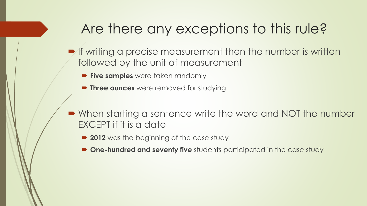## Are there any exceptions to this rule?

- $\blacktriangleright$  If writing a precise measurement then the number is written followed by the unit of measurement
	- **Five samples** were taken randomly
	- **Three ounces** were removed for studying
- When starting a sentence write the word and NOT the number EXCEPT if it is a date
	- **2012** was the beginning of the case study
	- **One-hundred and seventy five** students participated in the case study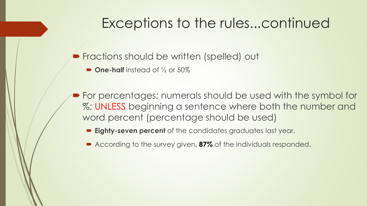## Exceptions to the rules...continued

**Fractions should be written (spelled) out** 

■ **One-half** instead of ½ or 50%

 For percentages; numerals should be used with the symbol for %; UNLESS beginning a sentence where both the number and word percent (percentage should be used)

**Eighty-seven percent** of the candidates graduates last year.

■ According to the survey given, **87%** of the individuals responded.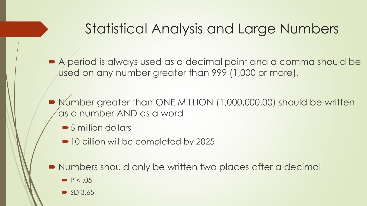## Statistical Analysis and Large Numbers

■ A period is always used as a decimal point and a comma should be used on any number greater than 999 (1,000 or more).

 Number greater than ONE MILLION (1,000,000.00) should be written as a number AND as a word

■ 5 million dollars

■ 10 billion will be completed by 2025

■ Numbers should only be written two places after a decimal

- $\blacktriangleright$  P < .05
- $\bullet$  SD 3.65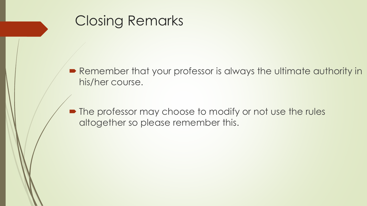## Closing Remarks

■ Remember that your professor is always the ultimate authority in his/her course.

• The professor may choose to modify or not use the rules altogether so please remember this.